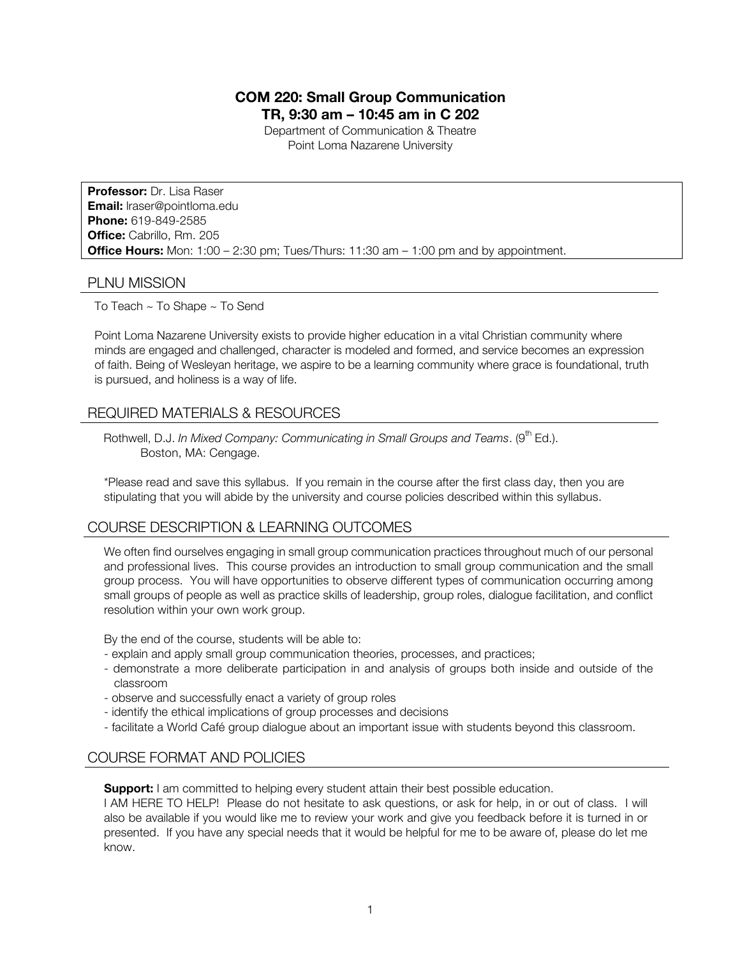# **COM 220: Small Group Communication TR, 9:30 am – 10:45 am in C 202**

Department of Communication & Theatre Point Loma Nazarene University

**Professor:** Dr. Lisa Raser **Email:** lraser@pointloma.edu **Phone:** 619-849-2585 **Office:** Cabrillo, Rm. 205 **Office Hours:** Mon: 1:00 – 2:30 pm; Tues/Thurs: 11:30 am – 1:00 pm and by appointment.

## PLNU MISSION

To Teach ~ To Shape ~ To Send

Point Loma Nazarene University exists to provide higher education in a vital Christian community where minds are engaged and challenged, character is modeled and formed, and service becomes an expression of faith. Being of Wesleyan heritage, we aspire to be a learning community where grace is foundational, truth is pursued, and holiness is a way of life.

# REQUIRED MATERIALS & RESOURCES

Rothwell, D.J. In Mixed Company: Communicating in Small Groups and Teams. (9<sup>th</sup> Ed.). Boston, MA: Cengage.

\*Please read and save this syllabus. If you remain in the course after the first class day, then you are stipulating that you will abide by the university and course policies described within this syllabus.

## COURSE DESCRIPTION & LEARNING OUTCOMES

We often find ourselves engaging in small group communication practices throughout much of our personal and professional lives. This course provides an introduction to small group communication and the small group process. You will have opportunities to observe different types of communication occurring among small groups of people as well as practice skills of leadership, group roles, dialogue facilitation, and conflict resolution within your own work group.

By the end of the course, students will be able to:

- explain and apply small group communication theories, processes, and practices;
- demonstrate a more deliberate participation in and analysis of groups both inside and outside of the classroom
- observe and successfully enact a variety of group roles
- identify the ethical implications of group processes and decisions
- facilitate a World Café group dialogue about an important issue with students beyond this classroom.

## COURSE FORMAT AND POLICIES

**Support:** I am committed to helping every student attain their best possible education.

I AM HERE TO HELP! Please do not hesitate to ask questions, or ask for help, in or out of class. I will also be available if you would like me to review your work and give you feedback before it is turned in or presented. If you have any special needs that it would be helpful for me to be aware of, please do let me know.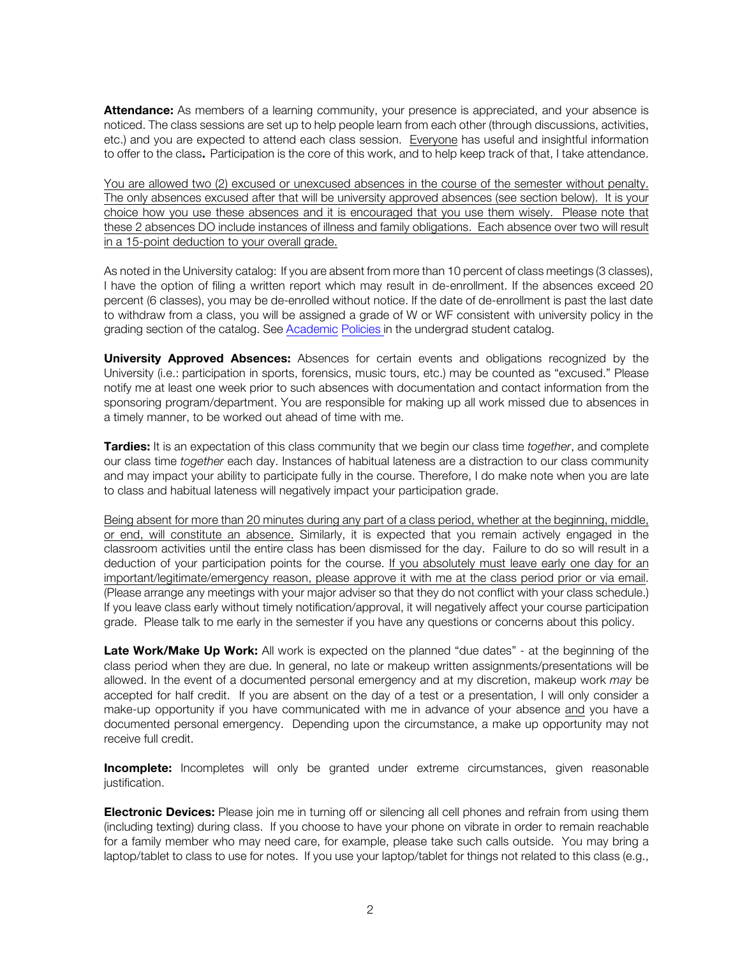**Attendance:** As members of a learning community, your presence is appreciated, and your absence is noticed. The class sessions are set up to help people learn from each other (through discussions, activities, etc.) and you are expected to attend each class session. Everyone has useful and insightful information to offer to the class. Participation is the core of this work, and to help keep track of that, I take attendance.

You are allowed two (2) excused or unexcused absences in the course of the semester without penalty. The only absences excused after that will be university approved absences (see section below). It is your choice how you use these absences and it is encouraged that you use them wisely. Please note that these 2 absences DO include instances of illness and family obligations. Each absence over two will result in a 15-point deduction to your overall grade.

As noted in the University catalog: If you are absent from more than 10 percent of class meetings (3 classes), I have the option of filing a written report which may result in de-enrollment. If the absences exceed 20 percent (6 classes), you may be de-enrolled without notice. If the date of de-enrollment is past the last date to withdraw from a class, you will be assigned a grade of W or WF consistent with university policy in the grading section of the catalog. See Academic Policies in the undergrad student catalog.

**University Approved Absences:** Absences for certain events and obligations recognized by the University (i.e.: participation in sports, forensics, music tours, etc.) may be counted as "excused." Please notify me at least one week prior to such absences with documentation and contact information from the sponsoring program/department. You are responsible for making up all work missed due to absences in a timely manner, to be worked out ahead of time with me.

**Tardies:** It is an expectation of this class community that we begin our class time *together*, and complete our class time *together* each day. Instances of habitual lateness are a distraction to our class community and may impact your ability to participate fully in the course. Therefore, I do make note when you are late to class and habitual lateness will negatively impact your participation grade.

Being absent for more than 20 minutes during any part of a class period, whether at the beginning, middle, or end, will constitute an absence. Similarly, it is expected that you remain actively engaged in the classroom activities until the entire class has been dismissed for the day. Failure to do so will result in a deduction of your participation points for the course. If you absolutely must leave early one day for an important/legitimate/emergency reason, please approve it with me at the class period prior or via email. (Please arrange any meetings with your major adviser so that they do not conflict with your class schedule.) If you leave class early without timely notification/approval, it will negatively affect your course participation grade. Please talk to me early in the semester if you have any questions or concerns about this policy.

**Late Work/Make Up Work:** All work is expected on the planned "due dates" - at the beginning of the class period when they are due. In general, no late or makeup written assignments/presentations will be allowed. In the event of a documented personal emergency and at my discretion, makeup work *may* be accepted for half credit. If you are absent on the day of a test or a presentation, I will only consider a make-up opportunity if you have communicated with me in advance of your absence and you have a documented personal emergency. Depending upon the circumstance, a make up opportunity may not receive full credit.

**Incomplete:** Incompletes will only be granted under extreme circumstances, given reasonable justification.

**Electronic Devices:** Please join me in turning off or silencing all cell phones and refrain from using them (including texting) during class. If you choose to have your phone on vibrate in order to remain reachable for a family member who may need care, for example, please take such calls outside. You may bring a laptop/tablet to class to use for notes. If you use your laptop/tablet for things not related to this class (e.g.,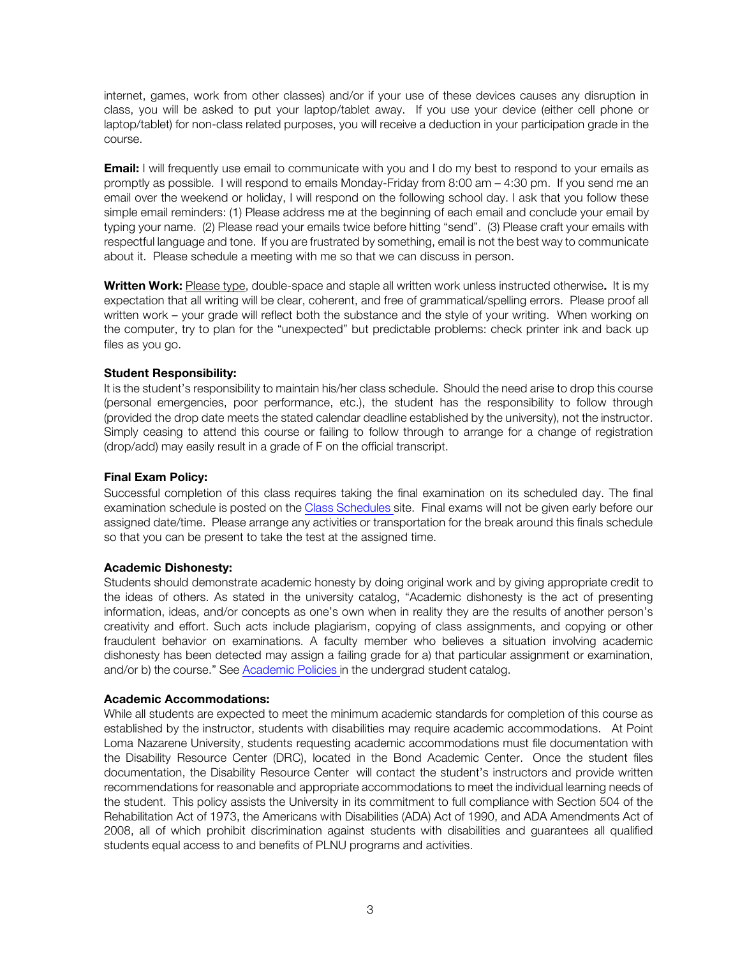internet, games, work from other classes) and/or if your use of these devices causes any disruption in class, you will be asked to put your laptop/tablet away. If you use your device (either cell phone or laptop/tablet) for non-class related purposes, you will receive a deduction in your participation grade in the course.

**Email:** I will frequently use email to communicate with you and I do my best to respond to your emails as promptly as possible. I will respond to emails Monday-Friday from 8:00 am – 4:30 pm. If you send me an email over the weekend or holiday, I will respond on the following school day. I ask that you follow these simple email reminders: (1) Please address me at the beginning of each email and conclude your email by typing your name. (2) Please read your emails twice before hitting "send". (3) Please craft your emails with respectful language and tone. If you are frustrated by something, email is not the best way to communicate about it. Please schedule a meeting with me so that we can discuss in person.

**Written Work:** Please type, double-space and staple all written work unless instructed otherwise**.** It is my expectation that all writing will be clear, coherent, and free of grammatical/spelling errors. Please proof all written work – your grade will reflect both the substance and the style of your writing. When working on the computer, try to plan for the "unexpected" but predictable problems: check printer ink and back up files as you go.

### **Student Responsibility:**

It is the student's responsibility to maintain his/her class schedule. Should the need arise to drop this course (personal emergencies, poor performance, etc.), the student has the responsibility to follow through (provided the drop date meets the stated calendar deadline established by the university), not the instructor. Simply ceasing to attend this course or failing to follow through to arrange for a change of registration (drop/add) may easily result in a grade of F on the official transcript.

### **Final Exam Policy:**

Successful completion of this class requires taking the final examination on its scheduled day. The final examination schedule is posted on the Class Schedules site. Final exams will not be given early before our assigned date/time. Please arrange any activities or transportation for the break around this finals schedule so that you can be present to take the test at the assigned time.

#### **Academic Dishonesty:**

Students should demonstrate academic honesty by doing original work and by giving appropriate credit to the ideas of others. As stated in the university catalog, "Academic dishonesty is the act of presenting information, ideas, and/or concepts as one's own when in reality they are the results of another person's creativity and effort. Such acts include plagiarism, copying of class assignments, and copying or other fraudulent behavior on examinations. A faculty member who believes a situation involving academic dishonesty has been detected may assign a failing grade for a) that particular assignment or examination, and/or b) the course." See Academic Policies in the undergrad student catalog.

#### **Academic Accommodations:**

While all students are expected to meet the minimum academic standards for completion of this course as established by the instructor, students with disabilities may require academic accommodations. At Point Loma Nazarene University, students requesting academic accommodations must file documentation with the Disability Resource Center (DRC), located in the Bond Academic Center. Once the student files documentation, the Disability Resource Center will contact the student's instructors and provide written recommendations for reasonable and appropriate accommodations to meet the individual learning needs of the student. This policy assists the University in its commitment to full compliance with Section 504 of the Rehabilitation Act of 1973, the Americans with Disabilities (ADA) Act of 1990, and ADA Amendments Act of 2008, all of which prohibit discrimination against students with disabilities and guarantees all qualified students equal access to and benefits of PLNU programs and activities.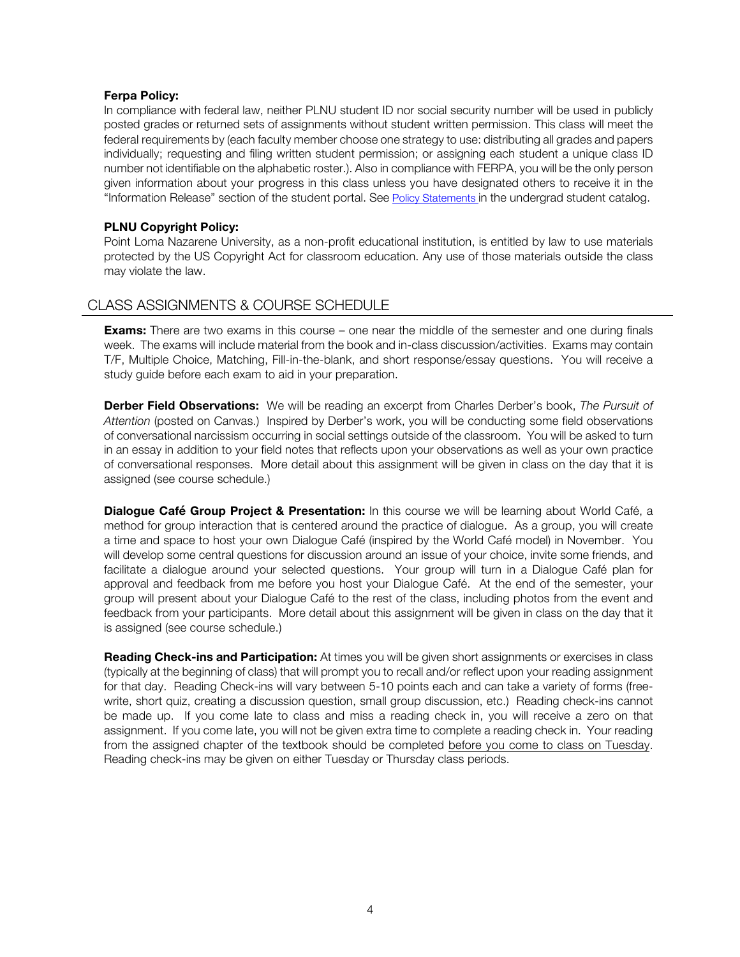#### **Ferpa Policy:**

In compliance with federal law, neither PLNU student ID nor social security number will be used in publicly posted grades or returned sets of assignments without student written permission. This class will meet the federal requirements by (each faculty member choose one strategy to use: distributing all grades and papers individually; requesting and filing written student permission; or assigning each student a unique class ID number not identifiable on the alphabetic roster.). Also in compliance with FERPA, you will be the only person given information about your progress in this class unless you have designated others to receive it in the "Information Release" section of the student portal. See Policy Statements in the undergrad student catalog.

### **PLNU Copyright Policy:**

Point Loma Nazarene University, as a non-profit educational institution, is entitled by law to use materials protected by the US Copyright Act for classroom education. Any use of those materials outside the class may violate the law.

# CLASS ASSIGNMENTS & COURSE SCHEDULE

**Exams:** There are two exams in this course – one near the middle of the semester and one during finals week. The exams will include material from the book and in-class discussion/activities. Exams may contain T/F, Multiple Choice, Matching, Fill-in-the-blank, and short response/essay questions. You will receive a study guide before each exam to aid in your preparation.

**Derber Field Observations:** We will be reading an excerpt from Charles Derber's book, *The Pursuit of Attention* (posted on Canvas.) Inspired by Derber's work, you will be conducting some field observations of conversational narcissism occurring in social settings outside of the classroom. You will be asked to turn in an essay in addition to your field notes that reflects upon your observations as well as your own practice of conversational responses. More detail about this assignment will be given in class on the day that it is assigned (see course schedule.)

**Dialogue Café Group Project & Presentation:** In this course we will be learning about World Café, a method for group interaction that is centered around the practice of dialogue. As a group, you will create a time and space to host your own Dialogue Café (inspired by the World Café model) in November. You will develop some central questions for discussion around an issue of your choice, invite some friends, and facilitate a dialogue around your selected questions. Your group will turn in a Dialogue Café plan for approval and feedback from me before you host your Dialogue Café. At the end of the semester, your group will present about your Dialogue Café to the rest of the class, including photos from the event and feedback from your participants. More detail about this assignment will be given in class on the day that it is assigned (see course schedule.)

**Reading Check-ins and Participation:** At times you will be given short assignments or exercises in class (typically at the beginning of class) that will prompt you to recall and/or reflect upon your reading assignment for that day. Reading Check-ins will vary between 5-10 points each and can take a variety of forms (freewrite, short quiz, creating a discussion question, small group discussion, etc.) Reading check-ins cannot be made up. If you come late to class and miss a reading check in, you will receive a zero on that assignment. If you come late, you will not be given extra time to complete a reading check in. Your reading from the assigned chapter of the textbook should be completed before you come to class on Tuesday. Reading check-ins may be given on either Tuesday or Thursday class periods.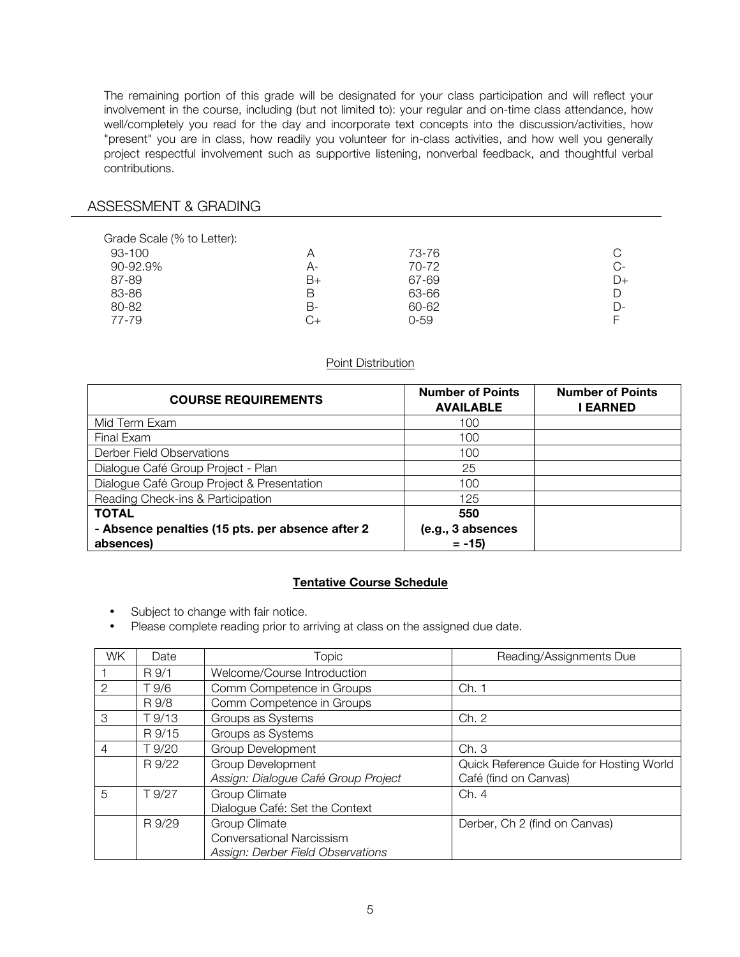The remaining portion of this grade will be designated for your class participation and will reflect your involvement in the course, including (but not limited to): your regular and on-time class attendance, how well/completely you read for the day and incorporate text concepts into the discussion/activities, how "present" you are in class, how readily you volunteer for in-class activities, and how well you generally project respectful involvement such as supportive listening, nonverbal feedback, and thoughtful verbal contributions.

# ASSESSMENT & GRADING

| Grade Scale (% to Letter):<br>93-100<br>90-92.9% | Α<br>A- | 73-76<br>70-72 | C<br>$C-$ |
|--------------------------------------------------|---------|----------------|-----------|
| 87-89                                            | B+      | 67-69          | $D+$      |
| 83-86                                            | В       | 63-66          | D         |
| 80-82                                            | В-      | 60-62          | D-        |
| 77-79                                            | C+      | $0 - 59$       | F         |

### Point Distribution

| <b>COURSE REQUIREMENTS</b>                       | <b>Number of Points</b><br><b>AVAILABLE</b> | <b>Number of Points</b><br><b>EARNED</b> |
|--------------------------------------------------|---------------------------------------------|------------------------------------------|
| Mid Term Exam                                    | 100                                         |                                          |
| Final Exam                                       | 100                                         |                                          |
| Derber Field Observations                        | 100                                         |                                          |
| Dialogue Café Group Project - Plan               | 25                                          |                                          |
| Dialogue Café Group Project & Presentation       | 100                                         |                                          |
| Reading Check-ins & Participation                | 125                                         |                                          |
| <b>TOTAL</b>                                     | 550                                         |                                          |
| - Absence penalties (15 pts. per absence after 2 | (e.g., 3 absences                           |                                          |
| absences)                                        | $= -15$                                     |                                          |

## **Tentative Course Schedule**

- Subject to change with fair notice.
- Please complete reading prior to arriving at class on the assigned due date.

| <b>WK</b> | Date   | Topic                               | Reading/Assignments Due                 |
|-----------|--------|-------------------------------------|-----------------------------------------|
|           | R 9/1  | Welcome/Course Introduction         |                                         |
| 2         | T 9/6  | Comm Competence in Groups           | Ch. 1                                   |
|           | R 9/8  | Comm Competence in Groups           |                                         |
| 3         | T 9/13 | Groups as Systems                   | Ch. 2                                   |
|           | R 9/15 | Groups as Systems                   |                                         |
| 4         | T 9/20 | Group Development                   | Ch.3                                    |
|           | R 9/22 | <b>Group Development</b>            | Quick Reference Guide for Hosting World |
|           |        | Assign: Dialogue Café Group Project | Café (find on Canvas)                   |
| 5         | T 9/27 | Group Climate                       | Ch. 4                                   |
|           |        | Dialogue Café: Set the Context      |                                         |
|           | R 9/29 | Group Climate                       | Derber, Ch 2 (find on Canvas)           |
|           |        | Conversational Narcissism           |                                         |
|           |        | Assign: Derber Field Observations   |                                         |